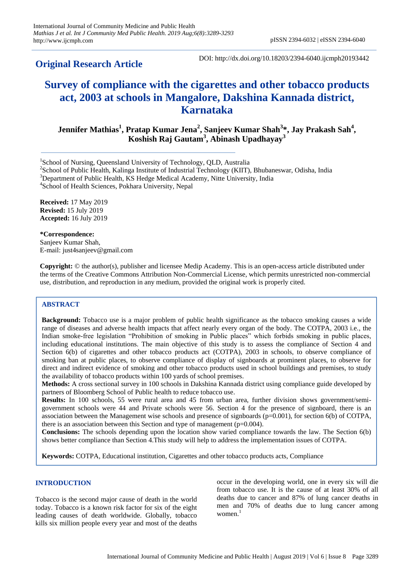# **Original Research Article**

DOI: http://dx.doi.org/10.18203/2394-6040.ijcmph20193442

# **Survey of compliance with the cigarettes and other tobacco products act, 2003 at schools in Mangalore, Dakshina Kannada district, Karnataka**

**Jennifer Mathias<sup>1</sup> , Pratap Kumar Jena<sup>2</sup> , Sanjeev Kumar Shah<sup>3</sup> \*, Jay Prakash Sah<sup>4</sup> , Koshish Raj Gautam<sup>3</sup> , Abinash Upadhayay<sup>3</sup>**

<sup>1</sup>School of Nursing, Queensland University of Technology, QLD, Australia

<sup>2</sup>School of Public Health, Kalinga Institute of Industrial Technology (KIIT), Bhubaneswar, Odisha, India <sup>3</sup>Department of Public Health, KS Hedge Medical Academy, Nitte University, India

4 School of Health Sciences, Pokhara University, Nepal

**Received:** 17 May 2019 **Revised:** 15 July 2019 **Accepted:** 16 July 2019

**\*Correspondence:** Sanjeev Kumar Shah, E-mail: just4sanjeev@gmail.com

**Copyright:** © the author(s), publisher and licensee Medip Academy. This is an open-access article distributed under the terms of the Creative Commons Attribution Non-Commercial License, which permits unrestricted non-commercial use, distribution, and reproduction in any medium, provided the original work is properly cited.

# **ABSTRACT**

**Background:** Tobacco use is a major problem of public health significance as the tobacco smoking causes a wide range of diseases and adverse health impacts that affect nearly every organ of the body. The COTPA, 2003 i.e., the Indian smoke-free legislation "Prohibition of smoking in Public places" which forbids smoking in public places, including educational institutions. The main objective of this study is to assess the compliance of Section 4 and Section 6(b) of cigarettes and other tobacco products act (COTPA), 2003 in schools, to observe compliance of smoking ban at public places, to observe compliance of display of signboards at prominent places, to observe for direct and indirect evidence of smoking and other tobacco products used in school buildings and premises, to study the availability of tobacco products within 100 yards of school premises.

**Methods:** A cross sectional survey in 100 schools in Dakshina Kannada district using compliance guide developed by partners of Bloomberg School of Public health to reduce tobacco use.

**Results:** In 100 schools, 55 were rural area and 45 from urban area, further division shows government/semigovernment schools were 44 and Private schools were 56. Section 4 for the presence of signboard, there is an association between the Management wise schools and presence of signboards (p=0.001), for section 6(b) of COTPA, there is an association between this Section and type of management  $(p=0.004)$ .

**Conclusions:** The schools depending upon the location show varied compliance towards the law. The Section 6(b) shows better compliance than Section 4.This study will help to address the implementation issues of COTPA.

**Keywords:** COTPA, Educational institution, Cigarettes and other tobacco products acts, Compliance

# **INTRODUCTION**

Tobacco is the second major cause of death in the world today. Tobacco is a known risk factor for six of the eight leading causes of death worldwide. Globally, tobacco kills six million people every year and most of the deaths

occur in the developing world, one in every six will die from tobacco use. It is the cause of at least 30% of all deaths due to cancer and 87% of lung cancer deaths in men and 70% of deaths due to lung cancer among women. $<sup>1</sup>$ </sup>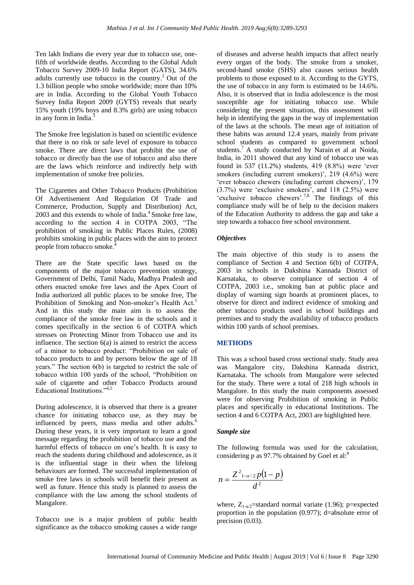Ten lakh Indians die every year due to tobacco use, onefifth of worldwide deaths. According to the Global Adult Tobacco Survey 2009-10 India Report (GATS), 34.6% adults currently use tobacco in the country.<sup>2</sup> Out of the 1.3 billion people who smoke worldwide; more than 10% are in India. According to the Global Youth Tobacco Survey India Report 2009 (GYTS) reveals that nearly 15% youth (19% boys and 8.3% girls) are using tobacco in any form in India.<sup>3</sup>

The Smoke free legislation is based on scientific evidence that there is no risk or safe level of exposure to tobacco smoke. There are direct laws that prohibit the use of tobacco or directly ban the use of tobacco and also there are the laws which reinforce and indirectly help with implementation of smoke free policies.

The Cigarettes and Other Tobacco Products (Prohibition Of Advertisement And Regulation Of Trade and Commerce, Production, Supply and Distribution) Act,  $2003$  and this extends to whole of India.<sup>4</sup> Smoke free law, according to the section 4 in COTPA 2003, "The prohibition of smoking in Public Places Rules, (2008) prohibits smoking in public places with the aim to protect people from tobacco smoke.<sup>2</sup>

There are the State specific laws based on the components of the major tobacco prevention strategy, Government of Delhi, Tamil Nadu, Madhya Pradesh and others enacted smoke free laws and the Apex Court of India authorized all public places to be smoke free, The Prohibition of Smoking and Non-smoker's Health Act.<sup>1</sup> And in this study the main aim is to assess the compliance of the smoke free law in the schools and it comes specifically in the section 6 of COTPA which stresses on Protecting Minor from Tobacco use and its influence. The section 6(a) is aimed to restrict the access of a minor to tobacco product: "Prohibition on sale of tobacco products to and by persons below the age of 18 years." The section 6(b) is targeted to restrict the sale of tobacco within 100 yards of the school, "Prohibition on sale of cigarette and other Tobacco Products around Educational Institutions."4,5

During adolescence, it is observed that there is a greater chance for initiating tobacco use, as they may be influenced by peers, mass media and other adults.<sup>6</sup> During these years, it is very important to learn a good message regarding the prohibition of tobacco use and the harmful effects of tobacco on one's health. It is easy to reach the students during childhood and adolescence, as it is the influential stage in their when the lifelong behaviours are formed. The successful implementation of smoke free laws in schools will benefit their present as well as future. Hence this study is planned to assess the compliance with the law among the school students of Mangalore.

Tobacco use is a major problem of public health significance as the tobacco smoking causes a wide range of diseases and adverse health impacts that affect nearly every organ of the body. The smoke from a smoker, second-hand smoke (SHS) also causes serious health problems to those exposed to it. According to the GYTS, the use of tobacco in any form is estimated to be 14.6%. Also, it is observed that in India adolescence is the most susceptible age for initiating tobacco use. While considering the present situation, this assessment will help in identifying the gaps in the way of implementation of the laws at the schools. The mean age of initiation of these habits was around 12.4 years, mainly from private school students as compared to government school students.<sup>7</sup> A study conducted by Narain et al at Noida, India, in 2011 showed that any kind of tobacco use was found in 537 (11.2%) students, 419 (8.8%) were "ever smokers (including current smokers)', 219 (4.6%) were 'ever tobacco chewers (including current chewers)', 179  $(3.7%)$  were 'exclusive smokers', and 118  $(2.5%)$  were 'exclusive tobacco chewers'.<sup>7,8</sup> The findings of this compliance study will be of help to the decision makers of the Education Authority to address the gap and take a step towards a tobacco free school environment.

#### *Objectives*

The main objective of this study is to assess the compliance of Section 4 and Section 6(b) of COTPA, 2003 in schools in Dakshina Kannada District of Karnataka, to observe compliance of section 4 of COTPA, 2003 i.e., smoking ban at public place and display of warning sign boards at prominent places, to observe for direct and indirect evidence of smoking and other tobacco products used in school buildings and premises and to study the availability of tobacco products within 100 yards of school premises.

# **METHODS**

This was a school based cross sectional study. Study area was Mangalore city, Dakshina Kannada district, Karnataka. The schools from Mangalore were selected for the study. There were a total of 218 high schools in Mangalore. In this study the main components assessed were for observing Prohibition of smoking in Public places and specifically in educational Institutions. The section 4 and 6 COTPA Act, 2003 are highlighted here.

#### *Sample size*

The following formula was used for the calculation, considering p as 97.7% obtained by Goel et al:<sup>9</sup>

$$
n=\frac{Z^2_{1-\alpha/2}p(1-p)}{d^2}
$$

where,  $Z_{1-\alpha/2}$ =standard normal variate (1.96); p=expected proportion in the population (0.977); d=absolute error of precision  $(0.03)$ .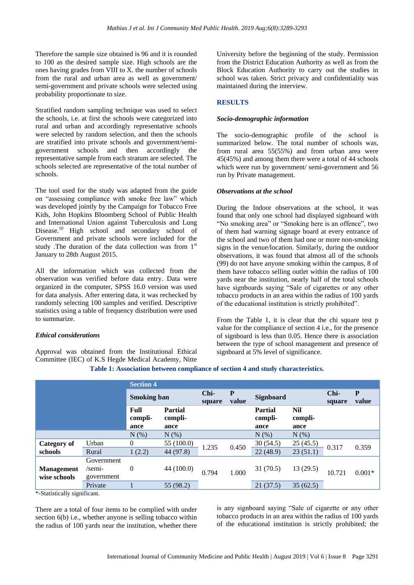Therefore the sample size obtained is 96 and it is rounded to 100 as the desired sample size. High schools are the ones having grades from VIII to X. the number of schools from the rural and urban area as well as government/ semi-government and private schools were selected using probability proportionate to size.

Stratified random sampling technique was used to select the schools, i.e. at first the schools were categorized into rural and urban and accordingly representative schools were selected by random selection, and then the schools are stratified into private schools and government/semigovernment schools and then accordingly the representative sample from each stratum are selected. The schools selected are representative of the total number of schools.

The tool used for the study was adapted from the guide on "assessing compliance with smoke free law" which was developed jointly by the Campaign for Tobacco Free Kids, John Hopkins Bloomberg School of Public Health and International Union against Tuberculosis and Lung Disease.<sup>10</sup> High school and secondary school of Government and private schools were included for the study .The duration of the data collection was from 1<sup>st</sup> January to 28th August 2015.

All the information which was collected from the observation was verified before data entry. Data were organized in the computer, SPSS 16.0 version was used for data analysis. After entering data, it was rechecked by randomly selecting 100 samples and verified. Descriptive statistics using a table of frequency distribution were used to summarize.

# *Ethical considerations*

Approval was obtained from the Institutional Ethical Committee (IEC) of K.S Hegde Medical Academy, Nitte

University before the beginning of the study. Permission from the District Education Authority as well as from the Block Education Authority to carry out the studies in school was taken. Strict privacy and confidentiality was maintained during the interview.

# **RESULTS**

# *Socio-demographic information*

The socio-demographic profile of the school is summarized below. The total number of schools was, from rural area 55(55%) and from urban area were 45(45%) and among them there were a total of 44 schools which were run by government/ semi-government and 56 run by Private management.

# *Observations at the school*

During the Indoor observations at the school, it was found that only one school had displayed signboard with "No smoking area" or "Smoking here is an offence", two of them had warning signage board at every entrance of the school and two of them had one or more non-smoking signs in the venue/location. Similarly, during the outdoor observations, it was found that almost all of the schools (99) do not have anyone smoking within the campus, 8 of them have tobacco selling outlet within the radius of 100 yards near the institution, nearly half of the total schools have signboards saying "Sale of cigarettes or any other tobacco products in an area within the radius of 100 yards of the educational institution is strictly prohibited".

From the Table 1, it is clear that the chi square test p value for the compliance of section 4 i.e., for the presence of signboard is less than 0.05. Hence there is association between the type of school management and presence of signboard at 5% level of significance.

|                                   |                                    | <b>Section 4</b>        |                                   |                |            |                                   |                        |                |            |
|-----------------------------------|------------------------------------|-------------------------|-----------------------------------|----------------|------------|-----------------------------------|------------------------|----------------|------------|
|                                   |                                    | <b>Smoking ban</b>      |                                   | Chi-<br>square | P<br>value | Signboard                         |                        | Chi-<br>square | P<br>value |
|                                   |                                    | Full<br>compli-<br>ance | <b>Partial</b><br>compli-<br>ance |                |            | <b>Partial</b><br>compli-<br>ance | Nil<br>compli-<br>ance |                |            |
|                                   |                                    | $N$ $(\%)$              | $N(\%)$                           |                |            | N(%)                              | N(%)                   |                |            |
| Category of                       | Urban                              | $\theta$                | 55 (100.0)                        | 0.450<br>1.235 |            | 30(54.5)                          | 25(45.5)               | 0.317          | 0.359      |
| schools                           | Rural                              | 1(2.2)                  | 44 (97.8)                         |                |            | 22(48.9)                          | 23(51.1)               |                |            |
| <b>Management</b><br>wise schools | Government<br>/semi-<br>government | $\theta$                | 44 (100.0)                        | 0.794          | 1.000      | 31(70.5)                          | 13(29.5)               | 10.721         | $0.001*$   |
|                                   | Private<br>$\cdot$ $\sim$          |                         | 55 (98.2)                         |                |            | 21(37.5)                          | 35(62.5)               |                |            |

# **Table 1: Association between compliance of section 4 and study characteristics.**

\*-Statistically significant.

There are a total of four items to be complied with under section 6(b) i.e., whether anyone is selling tobacco within the radius of 100 yards near the institution, whether there is any signboard saying "Sale of cigarette or any other tobacco products in an area within the radius of 100 yards of the educational institution is strictly prohibited; the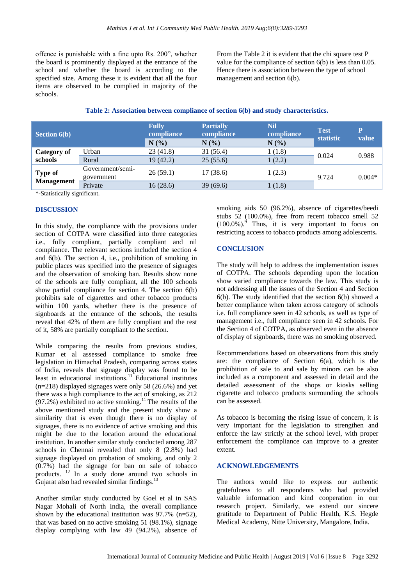offence is punishable with a fine upto Rs. 200", whether the board is prominently displayed at the entrance of the school and whether the board is according to the specified size. Among these it is evident that all the four items are observed to be complied in majority of the schools.

From the Table 2 it is evident that the chi square test P value for the compliance of section 6(b) is less than 0.05. Hence there is association between the type of school management and section 6(b).

| Table 2: Association between compliance of section 6(b) and study characteristics. |  |  |  |
|------------------------------------------------------------------------------------|--|--|--|
|------------------------------------------------------------------------------------|--|--|--|

| <b>Section 6(b)</b>                      |                                | <b>Fully</b><br>compliance<br>N(% | <b>Partially</b><br>compliance<br>$N(\%)$ | <b>Nil</b><br>compliance<br>N(%) | <b>Test</b><br>statistic | P<br>value |
|------------------------------------------|--------------------------------|-----------------------------------|-------------------------------------------|----------------------------------|--------------------------|------------|
| <b>Category of</b><br>schools            | Urban                          | 23(41.8)                          | 31 (56.4)                                 | 1 (1.8)                          | 0.024                    | 0.988      |
|                                          | Rural                          | 19(42.2)                          | 25(55.6)                                  | 1(2.2)                           |                          |            |
| <b>Type of</b><br><b>Management</b><br>. | Government/semi-<br>government | 26(59.1)                          | 17(38.6)                                  | 1(2.3)                           | 9.724                    | $0.004*$   |
|                                          | Private                        | 16(28.6)                          | 39(69.6)                                  | 1(1.8)                           |                          |            |

\*-Statistically significant.

# **DISCUSSION**

In this study, the compliance with the provisions under section of COTPA were classified into three categories i.e., fully compliant, partially compliant and nil compliance. The relevant sections included the section 4 and 6(b). The section 4, i.e., prohibition of smoking in public places was specified into the presence of signages and the observation of smoking ban. Results show none of the schools are fully compliant, all the 100 schools show partial compliance for section 4. The section 6(b) prohibits sale of cigarettes and other tobacco products within 100 yards, whether there is the presence of signboards at the entrance of the schools, the results reveal that 42% of them are fully compliant and the rest of it, 58% are partially compliant to the section.

While comparing the results from previous studies, Kumar et al assessed compliance to smoke free legislation in Himachal Pradesh, comparing across states of India, reveals that signage display was found to be least in educational institutions.<sup>11</sup> Educational institutes (n=218) displayed signages were only 58 (26.6%) and yet there was a high compliance to the act of smoking, as 212  $(97.2%)$  exhibited no active smoking.<sup>11</sup> The results of the above mentioned study and the present study show a similarity that is even though there is no display of signages, there is no evidence of active smoking and this might be due to the location around the educational institution. In another similar study conducted among 287 schools in Chennai revealed that only 8 (2.8%) had signage displayed on probation of smoking, and only 2 (0.7%) had the signage for ban on sale of tobacco products. <sup>12</sup> In a study done around two schools in Gujarat also had revealed similar findings.<sup>13</sup>

Another similar study conducted by Goel et al in SAS Nagar Mohali of North India, the overall compliance shown by the educational institution was 97.7% (n=52), that was based on no active smoking 51 (98.1%), signage display complying with law 49 (94.2%), absence of smoking aids 50 (96.2%), absence of cigarettes/beedi stubs 52 (100.0%), free from recent tobacco smell 52  $(100.0\%)$ . Thus, it is very important to focus on restricting access to tobacco products among adolescents**.**

# **CONCLUSION**

The study will help to address the implementation issues of COTPA. The schools depending upon the location show varied compliance towards the law. This study is not addressing all the issues of the Section 4 and Section 6(b). The study identified that the section 6(b) showed a better compliance when taken across category of schools i.e. full compliance seen in 42 schools, as well as type of management i.e., full compliance seen in 42 schools. For the Section 4 of COTPA, as observed even in the absence of display of signboards, there was no smoking observed.

Recommendations based on observations from this study are: the compliance of Section 6(a), which is the prohibition of sale to and sale by minors can be also included as a component and assessed in detail and the detailed assessment of the shops or kiosks selling cigarette and tobacco products surrounding the schools can be assessed.

As tobacco is becoming the rising issue of concern, it is very important for the legislation to strengthen and enforce the law strictly at the school level, with proper enforcement the compliance can improve to a greater extent.

#### **ACKNOWLEDGEMENTS**

The authors would like to express our authentic gratefulness to all respondents who had provided valuable information and kind cooperation in our research project. Similarly, we extend our sincere gratitude to Department of Public Health, K.S. Hegde Medical Academy, Nitte University, Mangalore, India.